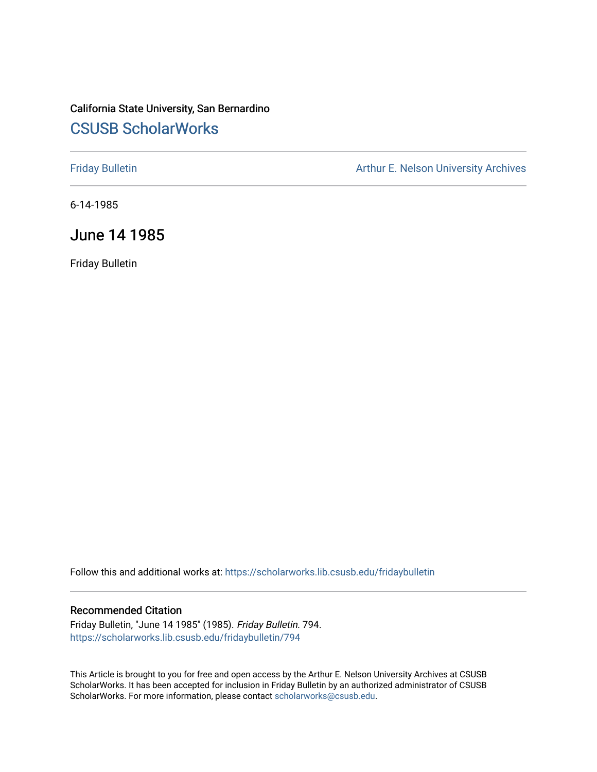# California State University, San Bernardino [CSUSB ScholarWorks](https://scholarworks.lib.csusb.edu/)

[Friday Bulletin](https://scholarworks.lib.csusb.edu/fridaybulletin) **Arthur E. Nelson University Archives** Arthur E. Nelson University Archives

6-14-1985

# June 14 1985

Friday Bulletin

Follow this and additional works at: [https://scholarworks.lib.csusb.edu/fridaybulletin](https://scholarworks.lib.csusb.edu/fridaybulletin?utm_source=scholarworks.lib.csusb.edu%2Ffridaybulletin%2F794&utm_medium=PDF&utm_campaign=PDFCoverPages)

### Recommended Citation

Friday Bulletin, "June 14 1985" (1985). Friday Bulletin. 794. [https://scholarworks.lib.csusb.edu/fridaybulletin/794](https://scholarworks.lib.csusb.edu/fridaybulletin/794?utm_source=scholarworks.lib.csusb.edu%2Ffridaybulletin%2F794&utm_medium=PDF&utm_campaign=PDFCoverPages)

This Article is brought to you for free and open access by the Arthur E. Nelson University Archives at CSUSB ScholarWorks. It has been accepted for inclusion in Friday Bulletin by an authorized administrator of CSUSB ScholarWorks. For more information, please contact [scholarworks@csusb.edu.](mailto:scholarworks@csusb.edu)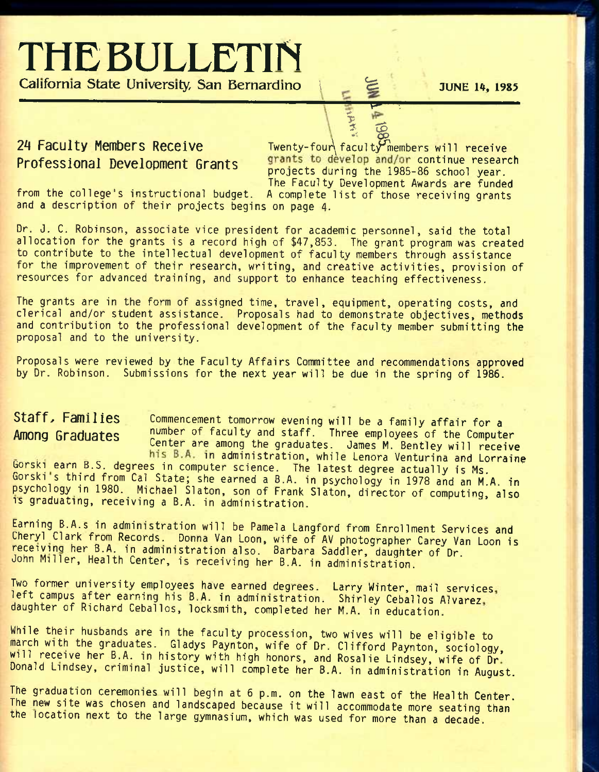# **THE BULLETIN California State University, San Bernardino I Fe JUNE 14, 1985**

*-i Qp*  **2^ Faculty Menribers Receive** Twenty-four\facult,^^embers will receive Professional Development Grants <sup>grants</sup> to develop and/or continue research projects during the 1985-86 school year. The Faculty Development Awards are funded

*y* •-

\$ *sx£>* 

from the college's instructional budget. A complete list of those receiving grants and a description of their projects begins on page 4.

Dr. J. C. Robinson, associate vice president for academic personnel, said the total allocation for the grants is a record high of \$47,853. The grant program was created to contribute to the intellectual development of faculty members through assistance for the improvement of their research, writing, and creative activities, provision of resources for advanced training, and support to enhance teaching effectiveness.

The grants are in the form of assigned time, travel, equipment, operating costs, and clerical and/or student assistance. Proposals had to demonstrate objectives, methods and contribution to the professional development of the faculty member submitting the proposal and to the university.

Proposals were reviewed by the Faculty Affairs Committee and recommendations approved by Dr. Robinson. Submissions for the next year will be due in the spring of 1986.

Staff, Families **Commencement tomorrow evening will be a family affair for a Among Graduates** number of faculty and staff. Three employees of the Computer Center are among the graduates. James M. Bentley will receive

his B.A. in administration, while Lenora Venturina and Lorraine Gorski earn B.S. degrees in computer science. The latest degree actually is Ms. Gorski s third from Cal State; she earned a 8.A. in psychology in 1978 and an M.A. in psychology in 1980. Michael Slaton, son of Frank Slaton, director of computing, also is graduating, receiving a B.A. in administration.

Earning B.A.s in administration will be Pamela Langford from Enrollment Services and Cheryl Clark from Records. Donna Van Loon, wife of AV photographer Carey Van Loon is receiving her B.A. in administration also. Barbara Saddler, daughter of Dr. John Miller, Health Center, is receiving her B.A. in administration.

Iwo former university employees have earned degrees. Larry Winter, mail services, left campus after earning his B.A. in administration. Shirley Ceballos Alvarez daughter of Richard Ceballos, locksmith, completed her M.A. in education.

While their husbands are in the faculty procession, two wives will be eligible to march with the graduates. Gladys Paynton, wife of Dr. Clifford Paynton, sociology will receive her B.A. in history with high honors, and Rosalie Lindsey, wife of Dr' Donald Lindsey, criminal justice, will complete her B.A. in administration in August.

The graduation ceremonies will begin at 6 p.m. on the lawn east of the Health Center. The new site was chosen and landscaped because it will accommodate more seating than the location next to the large gymnasium, which was used for more than a decade.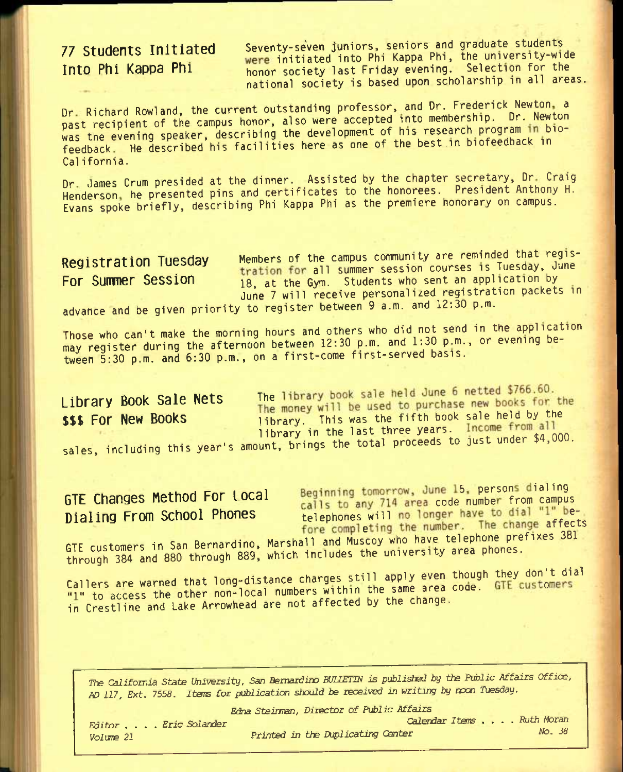**77 Students Initiated Seventy-seven juniors, seniors and graduate students // btuarts // btuarts // beginned into Phi Kappa Phi, the university-wide initiated into Phi Kappa Phi, the university-wide inclusion** for t honor society last Friday evening. Selection for the national society is based upon scholarship in all areas.

Dr. Richard Rowland, the current outstanding professor, and Dr. Frederick Newton, a past recipient of the campus honor, also were accepted into membership. Dr. Newton was the evening speaker, describing the development of his research program in biofeedback. He described his facilities here as one of the best in biofeedback in California.

Dr James Crum presided at the dinner. Assisted by the chapter secretary, Dr Craig Henderson, he presented pins and certificates to the honorees. President Anthony H. Evans spoke briefly, describing Phi Kappa Phi as the premiere honorary on campus.

Registration Tuesday Members of the campus community are reminded that registration for all summer session courses is Tuesday, June For Summer Session 18, at the Gym. Students who sent an application by June 7 will receive personalized registration packets in

advance and be given priority to register between 9 a.m. and 12:30 p.m.

Those who can't make the morning hours and others who did not send in the application may register during the afternoon between 12:30 p.m. and 1:30 p.m., or evening between 6:30 p.m. and 6:30 p.m., on a first-come first-served basis.

Library Book Sale Nets<br>The money will be used to purchase new books for the **\$\$\$ For New Books** 1ibrary. This was the fifth book sale held by the library in the last three years. Income from all sales, including this year's amount, brings the total proceeds to just under \$4,000.

GTE Changes Method For Local Beginning tomorrow, June 15, persons dialing<br>Dialing From School Phones alls to any 714 area code number from campus<br>telephones will no longer have to dial "1" betelephones will no longer have to dial "1" be-<br>fore completing the number. The change affects

GTE customers in San Bernardino, Marshall and Muscoy who have telephone prefixes 381 through 384 and 880 through 889, which includes the university area phones.

Callers are warned that long-distance charges still apply even though they don't dial "1" to access the other non-local numbers within the same area code. GTE customers in Crestline and Lake Arrowhead are not affected by the change.

*Tte California State University, San Bernardino BUUETIN is published by the Public Affairs Office,*  fj;) 217, *Ext.* 755S. Items *for publicaticxi should be received in writing by ncxxi Tuesday. Editor , . . . Eric Solander Calendar ItBns .... Ruth Morm* 

*Edna Steirman, Director of Public Affairs* 

*Volune 21 Printed in the Duplicating Center No. 38*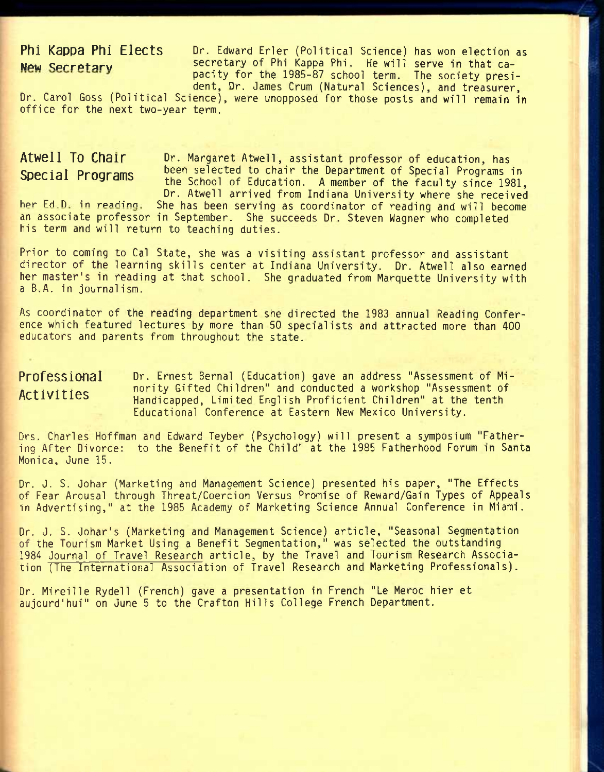**Phi Kappa Phi Elects** Dr. Edward Erler (Political Science) has won election as **New Secretary 3 secretary of Phi Kappa Phi. He will serve in that ca**pacity for the 1985-87 school term. The society president. Dr. James Crum (Natural Sciences), and treasurer.

Dr. Carol Goss (Political Science), were unopposed for those posts and will remain in office for the next two-year term.

Dr. Margaret Atwell, assistant professor of education, has been selected to chair the Department of Special Programs in the School of Education. A member of the faculty since 1981, Dr. Atwell arrived from Indiana University where she received **Atwell To Chair Special Programs** 

She has been serving as coordinator of reading and will become an associate professor in September. She succeeds Dr. Steven Wagner who completed his term and will return to teaching duties. her Ed.D. in reading.

Prior to coming to Gal State, she was a visiting assistant professor and assistant director of the learning skills center at Indiana University. Dr. Atwell also earned her master's in reading at that school. She graduated from Marquette University with a B.A. in journal ism.

As coordinator of the reading department she directed the 1983 annual Reading Conference which featured lectures by more than 50 specialists and attracted more than 400 educators and parents from throughout the state.

Dr. Ernest Bernal (Education) gave an address "Assessment of Minority Gifted Children" and conducted a workshop "Assessment of Handicapped, Limited English Proficient Children" at the tenth Educational Conference at Eastern New Mexico University. **Professional Activities** 

Ors. Charles Hoffman and Edward Teyber (Psychology) will present a symposium "Fathering After Divorce: to the Benefit of the Child" at the 1985 Fatherhood Forum in Santa Monica, June 15.

Dr. J. S. Johar (Marketing and Management Science) presented his paper, "The Effects of Fear Arousal through Threat/Coercion Versus Promise of Reward/Gain Types of Appeals in Advertising," at the 1985 Academy of Marketing Science Annual Conference in Miami.

Dr. J, S. Johar's (Marketing and Management Science) article, "Seasonal Segmentation of the Tourism Market Using a Benefit Segmentation," was selected the outstanding 1984 Journal of Travel Research article, by the Travel and Tourism Research Association (The International Association of Travel Research and Marketing Professionals).

Dr. Mireille Rydell (French) gave a presentation in French "Le Meroc hier et aujourd'hui" on June 5 to the Grafton Hills College French Department.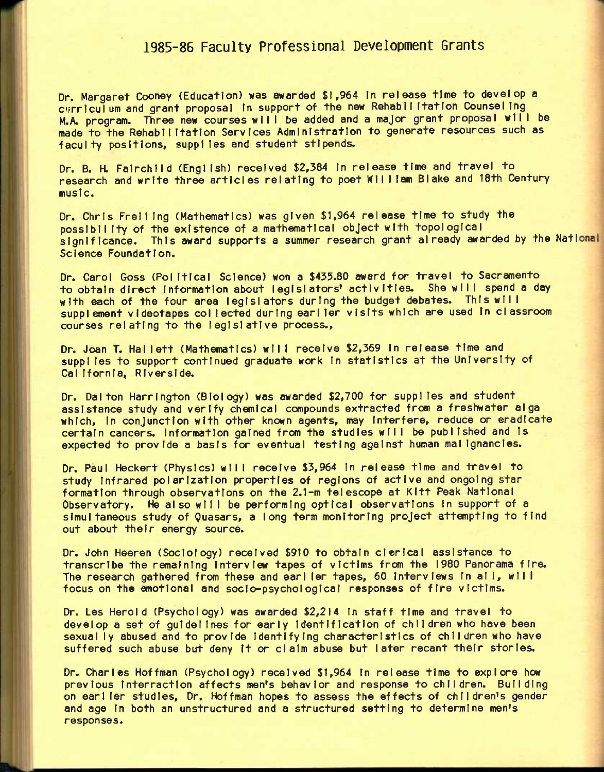## **1985-86 Faculty Professional Development Grants**

Dr. Margaret Cooney (Education) was awarded \$1,964 in release time to develop a c'frrlculum and grant proposal In support of the new RehabllItatlon CounselIng M.A. program. Three new courses will be added and a major grant proposal will be made to the RehabllItatlon Services Administration to generate resources such as faculty positions, supplies and student stipends.

Dr. B. H. Fairchild (English) received \$2,384 In release time and travel to research and write three articles relating to poet Wll I lam Blake and 18th Century music.

Dr. Chris FrellIng (Mathematics) was given \$1,964 release time to study the posslbll Ity of the existence of a mathematical object with topological significance. This award supports a summer research grant already awarded by the National Science Foundation.

Dr. Carol Goss (Pol Itlcal Science) won a \$435.80 award for travel to Sacramento to obtain direct information about legislators' activities. She will spend a day with each of the four area legislators during the budget debates. This will supplement videotapes col Iected during earller visits which are used In classroom courses relating to the legislative process..

Dr. Joan T. Hallett (Mathematics) will receive \$2,369 in release time and suppIles to support continued graduate work In statistics at the University of Cal Ifornia, Riverside.

Dr. Dal ton Harrington (Biology) was awarded \$2,700 for suppl les and student assistance study and verify chemical compounds extracted from a freshwater alga which, in conjunction with other known agents, may interfere, reduce or eradicate certain cancers. Information gained from the studies will be published and Is expected to provide a basis for eventual testing against human mal Ignancles.

Dr. Paul Heckert (Physics) will receive \$3,964 In release time and travel to study Infrared polarization properties of regions of active and ongoing star formation through observations on the 2.1-m telescope at KItt Peak National Observatory. He also wllI be performing optical observations In support of a simultaneous study of Quasars, a long term monitoring project attempting to find out about their energy source.

Dr. John Heeren (Sociology) received \$910 to obtain clerical assistance to transcribe the remaining Interview tapes of victims from the 1980 Panorama fire. The research gathered from these and earl ler tapes, 60 Interviews In al I, wll I focus on the emotional and soclo-psychologlcal responses of fire victims.

Dr. Les HeroId (Psychology) was awarded \$2,214 In staff time and travel to develop a set of guidelines for early Identification of children who have been sexual ly abused and to provide Identifying characteristics of children who have suffered such abuse but deny It or claim abuse but later recant their stories.

Dr. Charles Hoffman (Psychology) received \$1,964 In release time to explore how previous Interractlon affects men's behavior and response to children. Building on earller studies. Dr. Hoffman hopes to assess the effects of children's gender and age In both an unstructured and a structured setting to determine men's responses.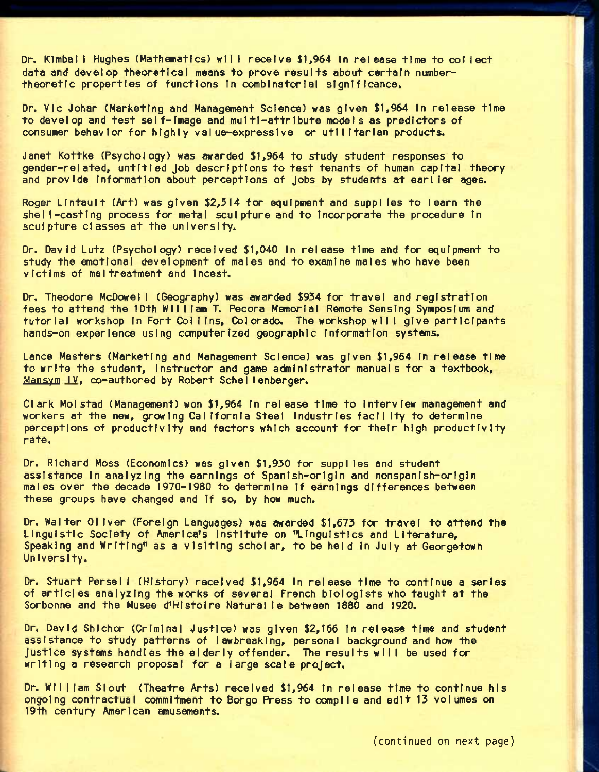Dr. KImbal I Hughes (Mathematics) wll I receive \$1,964 In release time to col I ect data and develop theoretical means to prove results about certain numbertheoretic properties of functions In combinatorial significance.

Dr. Vic Johar (Marketing and Management Science) was given \$1,964 In release time to develop and test self-image and multi-attribute models as predictors of consumer behavior for highly value-expressive or utilitarian products.

Janet Kottke (Psychology) was awarded \$1,964 to study student responses to gender-related, untitled Job descriptions to test tenants of human capital theory and provide Information about perceptions of jobs by students at earl ler ages.

Roger LIntault (Art) was given \$2,314 for equipment and suppi les to learn the shel l-casting process for metal sculpture and to Incorporate the procedure In sculpture classes at the university.

Dr. David Lutz (Psychology) received \$1,040 In release time and for equipment to study the emotional development of males and to examine males who have been victims of maltreatment and Incest.

Dr. Theodore McDowel I (Geography) was awarded \$934 for travel and registration fees to attend the 10th William T. Pecora Memorial Remote Sensing Symposium and tutorial workshop In Fort Col I Ins, Colorado. The workshop wllI give participants hands-on experience using computerized geographic Information systems.

Lance Masters (Marketing and Management Science) was given \$1,964 In release time to write the student, instructor and game administrator manuals for a textbook, Mansym IV, co-authored by Robert Schellenberger.

Clark Molstad (Management) won \$1,964 In release time to Interview management and workers at the new, growing California Steel Industries facility to determine perceptions of productivity and factors which account for their high productivity rate.

Dr. Richard Moss (Economics) was given \$1,930 for suppIles and student assistance In analyzing the earnings of Spanish-origin and nonspanlsh-orlgin males over the decade 1970-1980 to determine If earnings differences between these groups have changed and If so, by how much.

Dr. Walter Oliver (Foreign Languages) was awarded \$1,673 for travel to attend the Linguistic Society of America's Institute on "Linguistics and Literature, Speaking and Writing" as a visiting scholar, to be held In July at Georgetown University.

Dr. Stuart Persel I (History) received \$1,964 In release time to continue a series of articles analyzing the works of several French biologists who taught at the Sorbonne and the Musee d'HIstoIre Natural le between 1880 and 1920.

Dr. David Shichor (Criminal Justice) was given \$2,166 In release time and student assistance to study patterns of lawbreaking, personal background and how the Justice systems handles the elderly offender. The results will be used for writing a research proposal for a large scale project.

Dr. Wll I lam SI out (Theatre Arts) received \$1,964 In release time to continue his ongoing contractual commitment to Borgo Press to compile and edit 13 volumes on 19th century American amusements.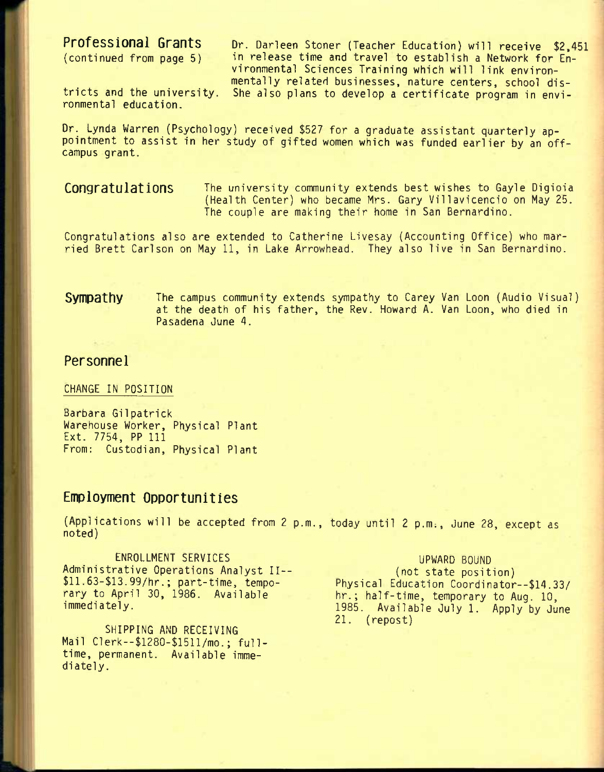**Professional Grants** Dr. Darleen Stoner (Teacher Education) will receive \$2,451 (continued from page 5) in release time and travel to establish a Network for Enin release time and travel to establish a Network for Environmental Sciences Training which will link environmentally related businesses, nature centers, school districts and the university. She also plans to develop a certificate program in envi-

ronmental education.

Dr. Lynda Warren (Psychology) received \$527 for a graduate assistant quarterly appointment to assist in her study of gifted women which was funded earlier by an offcampus grant.

Congratulations The university community extends best wishes to Gayle Digioia (Health Center) who became Mrs. Gary Vil1avicencio on May 25. The couple are making their home in San Bernardino.

Congratulations also are extended to Catherine Livesay (Accounting Office) who married Brett Carlson on May 11, in Lake Arrowhead. They also live in San Bernardino.

**Sympathy** The campus community extends sympathy to Carey Van Loon (Audio Visual) at the death of his father, the Rev. Howard A. Van Loon, who died in Pasadena June 4.

### **Personnel**

CHANGE IN POSITION

Barbara Gilpatrick Warehouse Worker, Physical Plant Ext. 7754, PP 111 From: Custodian, Physical Plant

## **Employment Opportunities**

(Applications will be accepted from 2 p.m., today until 2 p.m;, June 28, except as noted)

ENROLLMENT SERVICES Administrative Operations Analyst II-- \$11.63-\$13.99/hr.; part-time, temporary to April 30, 1986. Available immediately.

SHIPPING AND RECEIVING Mail Clerk-\$1280-\$1511/mo.; fulltime, permanent. Available immediately.

### UPWARD BOUND (not state position) Physical Education Coordinator--\$14.33/ hr.; half-time, temporary to Aug. 10, 1985. Available July 1. Apply by June 21. (repost)